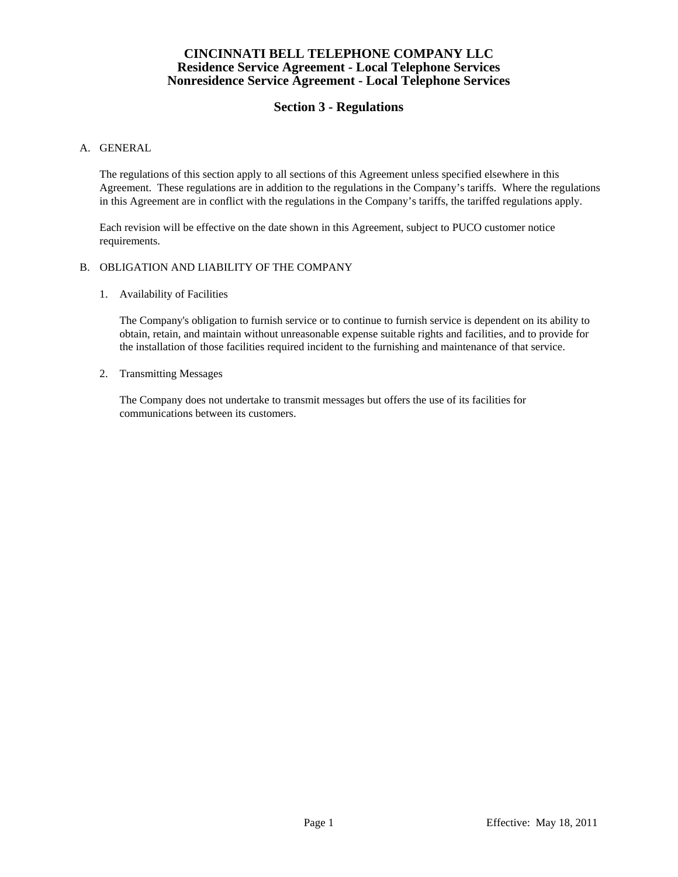# **Section 3 - Regulations**

### A. GENERAL

 The regulations of this section apply to all sections of this Agreement unless specified elsewhere in this Agreement. These regulations are in addition to the regulations in the Company's tariffs. Where the regulations in this Agreement are in conflict with the regulations in the Company's tariffs, the tariffed regulations apply.

 Each revision will be effective on the date shown in this Agreement, subject to PUCO customer notice requirements.

#### B. OBLIGATION AND LIABILITY OF THE COMPANY

1. Availability of Facilities

 The Company's obligation to furnish service or to continue to furnish service is dependent on its ability to obtain, retain, and maintain without unreasonable expense suitable rights and facilities, and to provide for the installation of those facilities required incident to the furnishing and maintenance of that service.

2. Transmitting Messages

 The Company does not undertake to transmit messages but offers the use of its facilities for communications between its customers.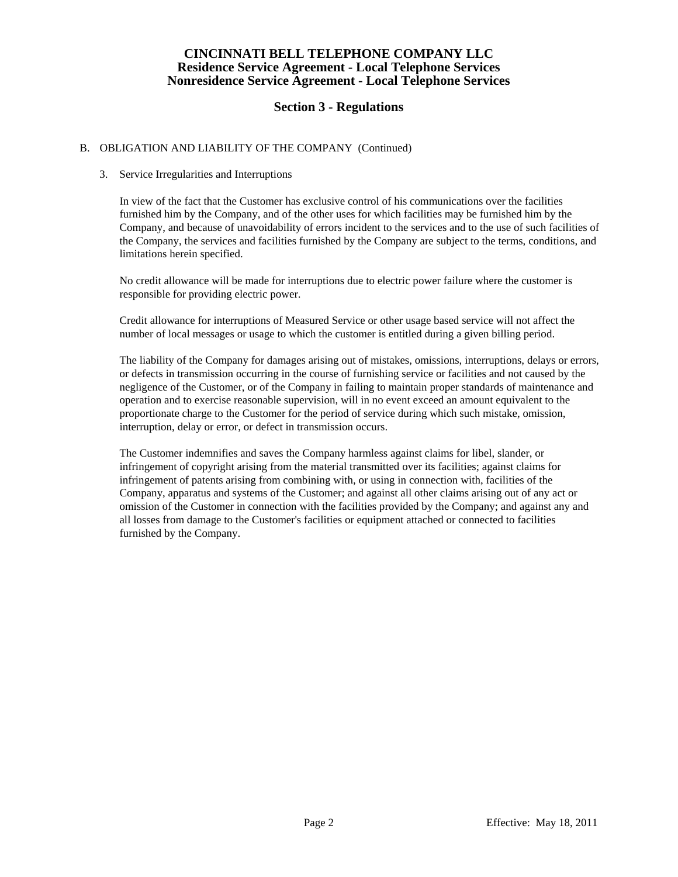# **Section 3 - Regulations**

### B. OBLIGATION AND LIABILITY OF THE COMPANY (Continued)

### 3. Service Irregularities and Interruptions

 In view of the fact that the Customer has exclusive control of his communications over the facilities furnished him by the Company, and of the other uses for which facilities may be furnished him by the Company, and because of unavoidability of errors incident to the services and to the use of such facilities of the Company, the services and facilities furnished by the Company are subject to the terms, conditions, and limitations herein specified.

 No credit allowance will be made for interruptions due to electric power failure where the customer is responsible for providing electric power.

 Credit allowance for interruptions of Measured Service or other usage based service will not affect the number of local messages or usage to which the customer is entitled during a given billing period.

 The liability of the Company for damages arising out of mistakes, omissions, interruptions, delays or errors, or defects in transmission occurring in the course of furnishing service or facilities and not caused by the negligence of the Customer, or of the Company in failing to maintain proper standards of maintenance and operation and to exercise reasonable supervision, will in no event exceed an amount equivalent to the proportionate charge to the Customer for the period of service during which such mistake, omission, interruption, delay or error, or defect in transmission occurs.

 The Customer indemnifies and saves the Company harmless against claims for libel, slander, or infringement of copyright arising from the material transmitted over its facilities; against claims for infringement of patents arising from combining with, or using in connection with, facilities of the Company, apparatus and systems of the Customer; and against all other claims arising out of any act or omission of the Customer in connection with the facilities provided by the Company; and against any and all losses from damage to the Customer's facilities or equipment attached or connected to facilities furnished by the Company.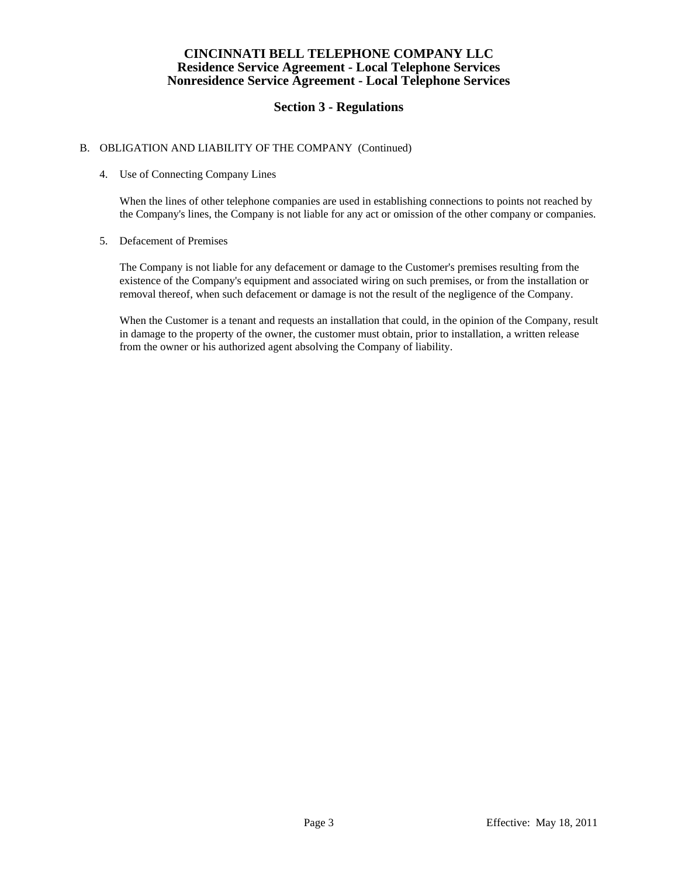# **Section 3 - Regulations**

### B. OBLIGATION AND LIABILITY OF THE COMPANY (Continued)

### 4. Use of Connecting Company Lines

 When the lines of other telephone companies are used in establishing connections to points not reached by the Company's lines, the Company is not liable for any act or omission of the other company or companies.

#### 5. Defacement of Premises

 The Company is not liable for any defacement or damage to the Customer's premises resulting from the existence of the Company's equipment and associated wiring on such premises, or from the installation or removal thereof, when such defacement or damage is not the result of the negligence of the Company.

 When the Customer is a tenant and requests an installation that could, in the opinion of the Company, result in damage to the property of the owner, the customer must obtain, prior to installation, a written release from the owner or his authorized agent absolving the Company of liability.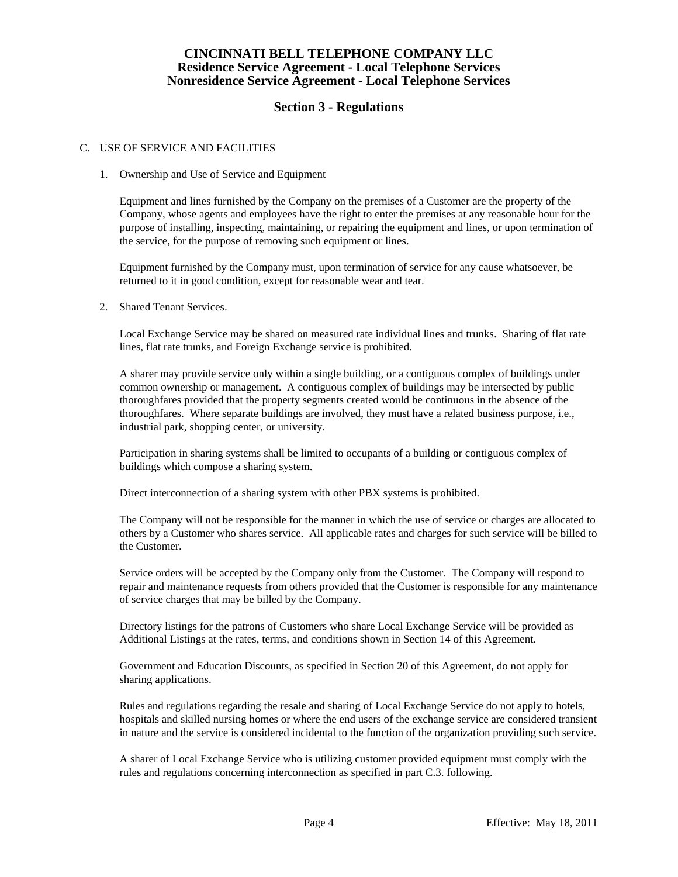# **Section 3 - Regulations**

#### C. USE OF SERVICE AND FACILITIES

#### 1. Ownership and Use of Service and Equipment

 Equipment and lines furnished by the Company on the premises of a Customer are the property of the Company, whose agents and employees have the right to enter the premises at any reasonable hour for the purpose of installing, inspecting, maintaining, or repairing the equipment and lines, or upon termination of the service, for the purpose of removing such equipment or lines.

 Equipment furnished by the Company must, upon termination of service for any cause whatsoever, be returned to it in good condition, except for reasonable wear and tear.

2. Shared Tenant Services.

 Local Exchange Service may be shared on measured rate individual lines and trunks. Sharing of flat rate lines, flat rate trunks, and Foreign Exchange service is prohibited.

 A sharer may provide service only within a single building, or a contiguous complex of buildings under common ownership or management. A contiguous complex of buildings may be intersected by public thoroughfares provided that the property segments created would be continuous in the absence of the thoroughfares. Where separate buildings are involved, they must have a related business purpose, i.e., industrial park, shopping center, or university.

 Participation in sharing systems shall be limited to occupants of a building or contiguous complex of buildings which compose a sharing system.

Direct interconnection of a sharing system with other PBX systems is prohibited.

 The Company will not be responsible for the manner in which the use of service or charges are allocated to others by a Customer who shares service. All applicable rates and charges for such service will be billed to the Customer.

 Service orders will be accepted by the Company only from the Customer. The Company will respond to repair and maintenance requests from others provided that the Customer is responsible for any maintenance of service charges that may be billed by the Company.

 Directory listings for the patrons of Customers who share Local Exchange Service will be provided as Additional Listings at the rates, terms, and conditions shown in Section 14 of this Agreement.

 Government and Education Discounts, as specified in Section 20 of this Agreement, do not apply for sharing applications.

 Rules and regulations regarding the resale and sharing of Local Exchange Service do not apply to hotels, hospitals and skilled nursing homes or where the end users of the exchange service are considered transient in nature and the service is considered incidental to the function of the organization providing such service.

 A sharer of Local Exchange Service who is utilizing customer provided equipment must comply with the rules and regulations concerning interconnection as specified in part C.3. following.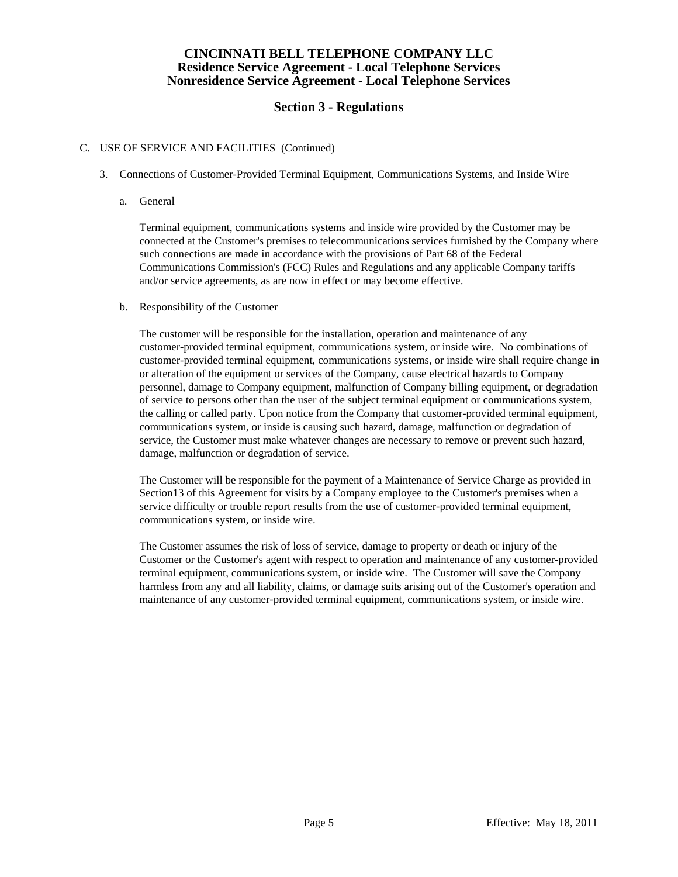# **Section 3 - Regulations**

### C. USE OF SERVICE AND FACILITIES (Continued)

- 3. Connections of Customer-Provided Terminal Equipment, Communications Systems, and Inside Wire
	- a. General

 Terminal equipment, communications systems and inside wire provided by the Customer may be connected at the Customer's premises to telecommunications services furnished by the Company where such connections are made in accordance with the provisions of Part 68 of the Federal Communications Commission's (FCC) Rules and Regulations and any applicable Company tariffs and/or service agreements, as are now in effect or may become effective.

b. Responsibility of the Customer

 The customer will be responsible for the installation, operation and maintenance of any customer-provided terminal equipment, communications system, or inside wire. No combinations of customer-provided terminal equipment, communications systems, or inside wire shall require change in or alteration of the equipment or services of the Company, cause electrical hazards to Company personnel, damage to Company equipment, malfunction of Company billing equipment, or degradation of service to persons other than the user of the subject terminal equipment or communications system, the calling or called party. Upon notice from the Company that customer-provided terminal equipment, communications system, or inside is causing such hazard, damage, malfunction or degradation of service, the Customer must make whatever changes are necessary to remove or prevent such hazard, damage, malfunction or degradation of service.

 The Customer will be responsible for the payment of a Maintenance of Service Charge as provided in Section13 of this Agreement for visits by a Company employee to the Customer's premises when a service difficulty or trouble report results from the use of customer-provided terminal equipment, communications system, or inside wire.

 The Customer assumes the risk of loss of service, damage to property or death or injury of the Customer or the Customer's agent with respect to operation and maintenance of any customer-provided terminal equipment, communications system, or inside wire. The Customer will save the Company harmless from any and all liability, claims, or damage suits arising out of the Customer's operation and maintenance of any customer-provided terminal equipment, communications system, or inside wire.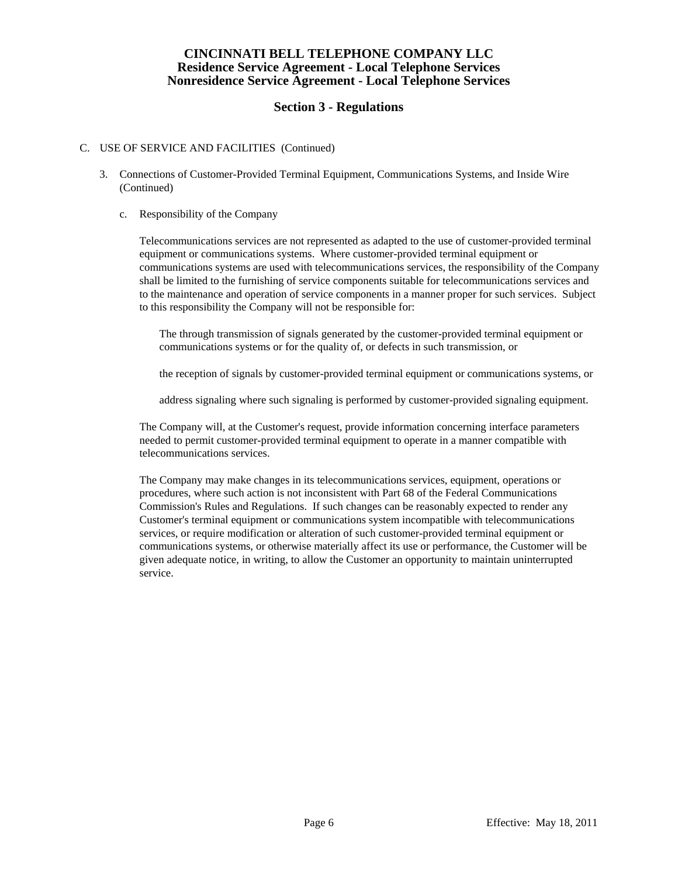# **Section 3 - Regulations**

### C. USE OF SERVICE AND FACILITIES (Continued)

- 3. Connections of Customer-Provided Terminal Equipment, Communications Systems, and Inside Wire (Continued)
	- c. Responsibility of the Company

 Telecommunications services are not represented as adapted to the use of customer-provided terminal equipment or communications systems. Where customer-provided terminal equipment or communications systems are used with telecommunications services, the responsibility of the Company shall be limited to the furnishing of service components suitable for telecommunications services and to the maintenance and operation of service components in a manner proper for such services. Subject to this responsibility the Company will not be responsible for:

 The through transmission of signals generated by the customer-provided terminal equipment or communications systems or for the quality of, or defects in such transmission, or

the reception of signals by customer-provided terminal equipment or communications systems, or

address signaling where such signaling is performed by customer-provided signaling equipment.

 The Company will, at the Customer's request, provide information concerning interface parameters needed to permit customer-provided terminal equipment to operate in a manner compatible with telecommunications services.

 The Company may make changes in its telecommunications services, equipment, operations or procedures, where such action is not inconsistent with Part 68 of the Federal Communications Commission's Rules and Regulations. If such changes can be reasonably expected to render any Customer's terminal equipment or communications system incompatible with telecommunications services, or require modification or alteration of such customer-provided terminal equipment or communications systems, or otherwise materially affect its use or performance, the Customer will be given adequate notice, in writing, to allow the Customer an opportunity to maintain uninterrupted service.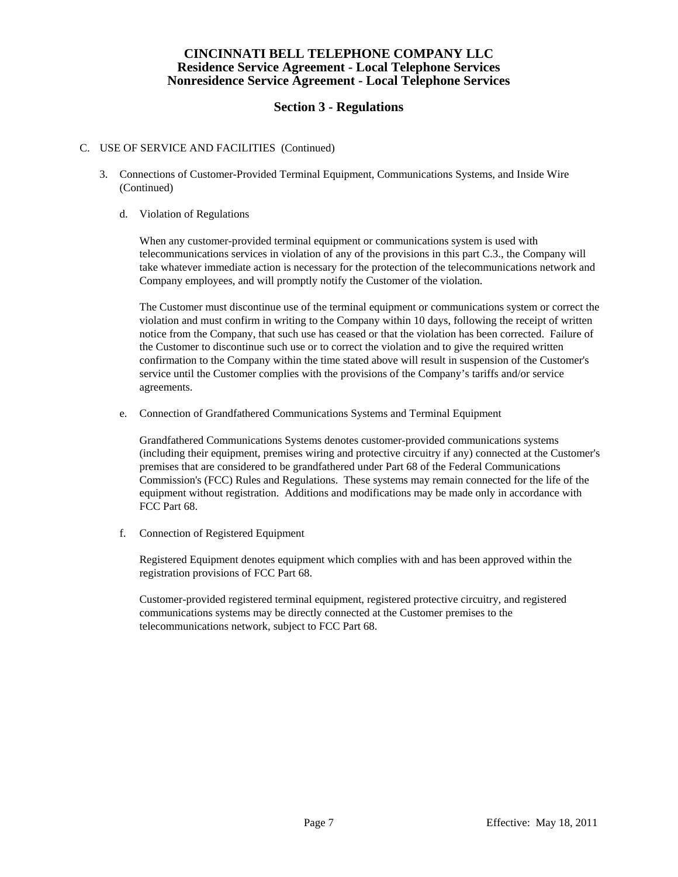# **Section 3 - Regulations**

### C. USE OF SERVICE AND FACILITIES (Continued)

- 3. Connections of Customer-Provided Terminal Equipment, Communications Systems, and Inside Wire (Continued)
	- d. Violation of Regulations

 When any customer-provided terminal equipment or communications system is used with telecommunications services in violation of any of the provisions in this part C.3., the Company will take whatever immediate action is necessary for the protection of the telecommunications network and Company employees, and will promptly notify the Customer of the violation.

 The Customer must discontinue use of the terminal equipment or communications system or correct the violation and must confirm in writing to the Company within 10 days, following the receipt of written notice from the Company, that such use has ceased or that the violation has been corrected. Failure of the Customer to discontinue such use or to correct the violation and to give the required written confirmation to the Company within the time stated above will result in suspension of the Customer's service until the Customer complies with the provisions of the Company's tariffs and/or service agreements.

e. Connection of Grandfathered Communications Systems and Terminal Equipment

 Grandfathered Communications Systems denotes customer-provided communications systems (including their equipment, premises wiring and protective circuitry if any) connected at the Customer's premises that are considered to be grandfathered under Part 68 of the Federal Communications Commission's (FCC) Rules and Regulations. These systems may remain connected for the life of the equipment without registration. Additions and modifications may be made only in accordance with FCC Part 68.

f. Connection of Registered Equipment

 Registered Equipment denotes equipment which complies with and has been approved within the registration provisions of FCC Part 68.

 Customer-provided registered terminal equipment, registered protective circuitry, and registered communications systems may be directly connected at the Customer premises to the telecommunications network, subject to FCC Part 68.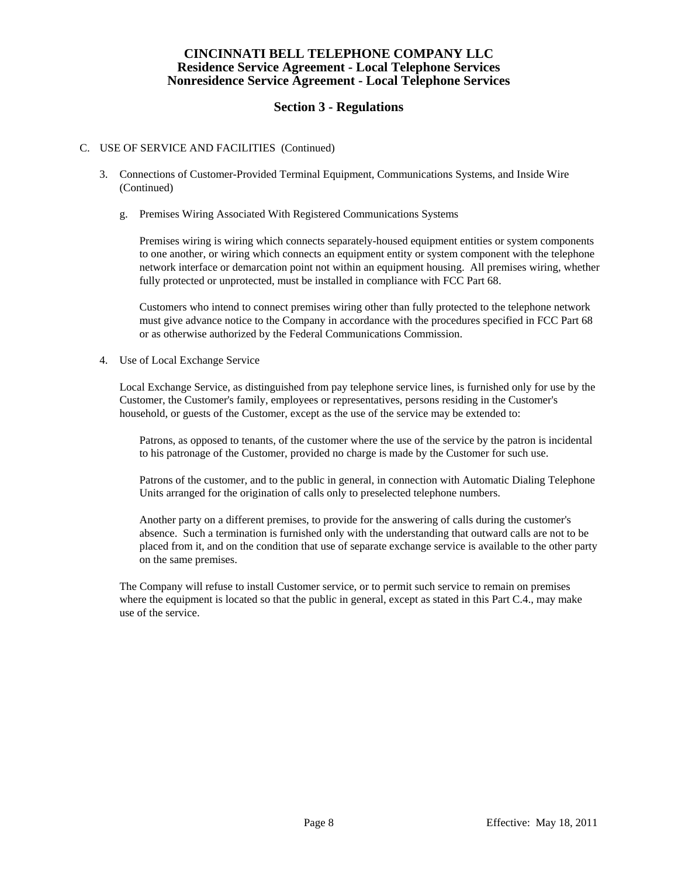# **Section 3 - Regulations**

#### C. USE OF SERVICE AND FACILITIES (Continued)

- 3. Connections of Customer-Provided Terminal Equipment, Communications Systems, and Inside Wire (Continued)
	- g. Premises Wiring Associated With Registered Communications Systems

 Premises wiring is wiring which connects separately-housed equipment entities or system components to one another, or wiring which connects an equipment entity or system component with the telephone network interface or demarcation point not within an equipment housing. All premises wiring, whether fully protected or unprotected, must be installed in compliance with FCC Part 68.

 Customers who intend to connect premises wiring other than fully protected to the telephone network must give advance notice to the Company in accordance with the procedures specified in FCC Part 68 or as otherwise authorized by the Federal Communications Commission.

4. Use of Local Exchange Service

 Local Exchange Service, as distinguished from pay telephone service lines, is furnished only for use by the Customer, the Customer's family, employees or representatives, persons residing in the Customer's household, or guests of the Customer, except as the use of the service may be extended to:

 Patrons, as opposed to tenants, of the customer where the use of the service by the patron is incidental to his patronage of the Customer, provided no charge is made by the Customer for such use.

 Patrons of the customer, and to the public in general, in connection with Automatic Dialing Telephone Units arranged for the origination of calls only to preselected telephone numbers.

 Another party on a different premises, to provide for the answering of calls during the customer's absence. Such a termination is furnished only with the understanding that outward calls are not to be placed from it, and on the condition that use of separate exchange service is available to the other party on the same premises.

 The Company will refuse to install Customer service, or to permit such service to remain on premises where the equipment is located so that the public in general, except as stated in this Part C.4., may make use of the service.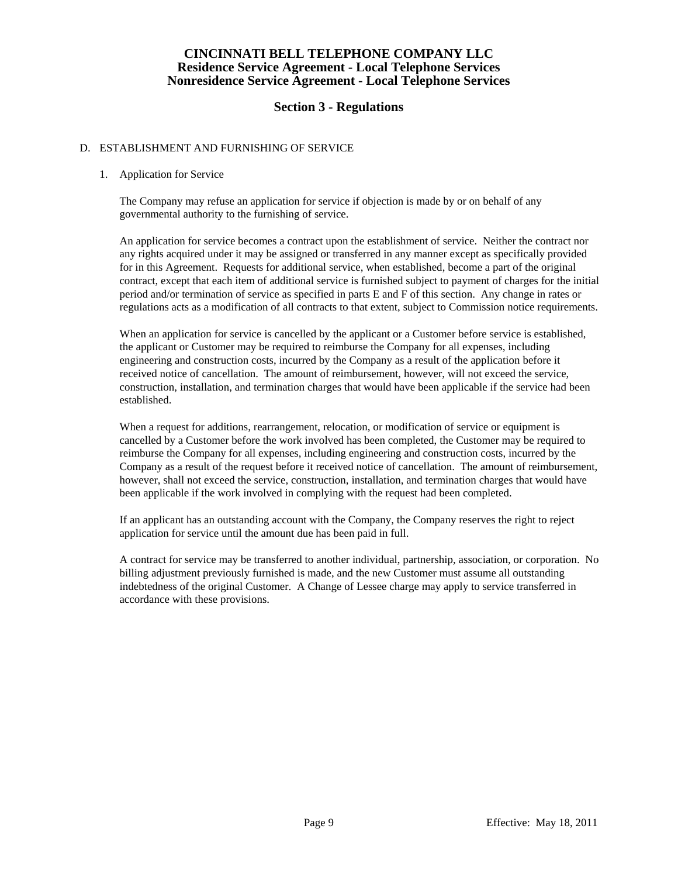# **Section 3 - Regulations**

### D. ESTABLISHMENT AND FURNISHING OF SERVICE

#### 1. Application for Service

 The Company may refuse an application for service if objection is made by or on behalf of any governmental authority to the furnishing of service.

 An application for service becomes a contract upon the establishment of service. Neither the contract nor any rights acquired under it may be assigned or transferred in any manner except as specifically provided for in this Agreement. Requests for additional service, when established, become a part of the original contract, except that each item of additional service is furnished subject to payment of charges for the initial period and/or termination of service as specified in parts E and F of this section. Any change in rates or regulations acts as a modification of all contracts to that extent, subject to Commission notice requirements.

 When an application for service is cancelled by the applicant or a Customer before service is established, the applicant or Customer may be required to reimburse the Company for all expenses, including engineering and construction costs, incurred by the Company as a result of the application before it received notice of cancellation. The amount of reimbursement, however, will not exceed the service, construction, installation, and termination charges that would have been applicable if the service had been established.

 When a request for additions, rearrangement, relocation, or modification of service or equipment is cancelled by a Customer before the work involved has been completed, the Customer may be required to reimburse the Company for all expenses, including engineering and construction costs, incurred by the Company as a result of the request before it received notice of cancellation. The amount of reimbursement, however, shall not exceed the service, construction, installation, and termination charges that would have been applicable if the work involved in complying with the request had been completed.

 If an applicant has an outstanding account with the Company, the Company reserves the right to reject application for service until the amount due has been paid in full.

 A contract for service may be transferred to another individual, partnership, association, or corporation. No billing adjustment previously furnished is made, and the new Customer must assume all outstanding indebtedness of the original Customer. A Change of Lessee charge may apply to service transferred in accordance with these provisions.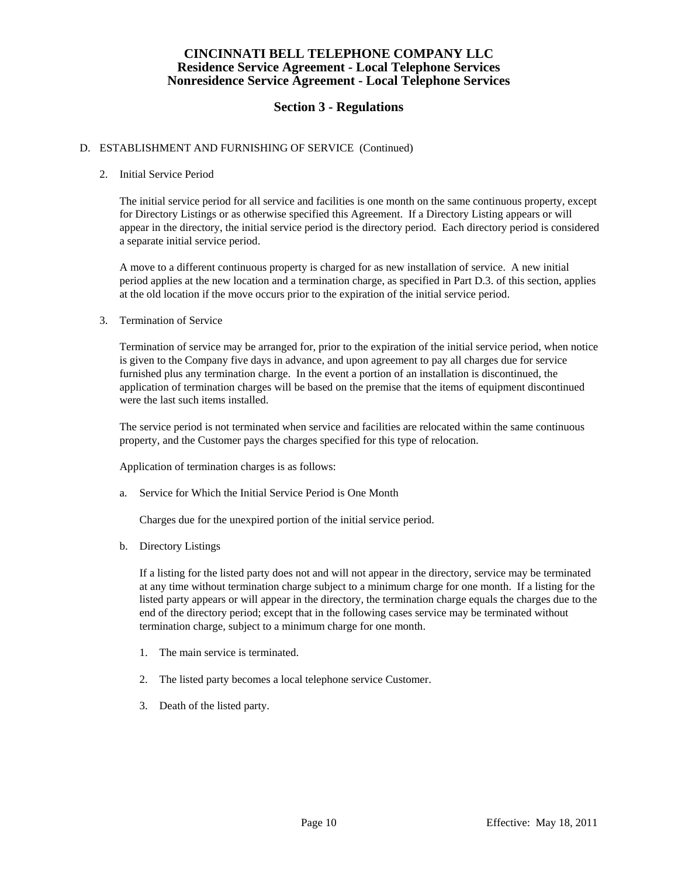# **Section 3 - Regulations**

### D. ESTABLISHMENT AND FURNISHING OF SERVICE (Continued)

#### 2. Initial Service Period

 The initial service period for all service and facilities is one month on the same continuous property, except for Directory Listings or as otherwise specified this Agreement. If a Directory Listing appears or will appear in the directory, the initial service period is the directory period. Each directory period is considered a separate initial service period.

 A move to a different continuous property is charged for as new installation of service. A new initial period applies at the new location and a termination charge, as specified in Part D.3. of this section, applies at the old location if the move occurs prior to the expiration of the initial service period.

#### 3. Termination of Service

 Termination of service may be arranged for, prior to the expiration of the initial service period, when notice is given to the Company five days in advance, and upon agreement to pay all charges due for service furnished plus any termination charge. In the event a portion of an installation is discontinued, the application of termination charges will be based on the premise that the items of equipment discontinued were the last such items installed.

 The service period is not terminated when service and facilities are relocated within the same continuous property, and the Customer pays the charges specified for this type of relocation.

Application of termination charges is as follows:

a. Service for Which the Initial Service Period is One Month

Charges due for the unexpired portion of the initial service period.

b. Directory Listings

 If a listing for the listed party does not and will not appear in the directory, service may be terminated at any time without termination charge subject to a minimum charge for one month. If a listing for the listed party appears or will appear in the directory, the termination charge equals the charges due to the end of the directory period; except that in the following cases service may be terminated without termination charge, subject to a minimum charge for one month.

- 1. The main service is terminated.
- 2. The listed party becomes a local telephone service Customer.
- 3. Death of the listed party.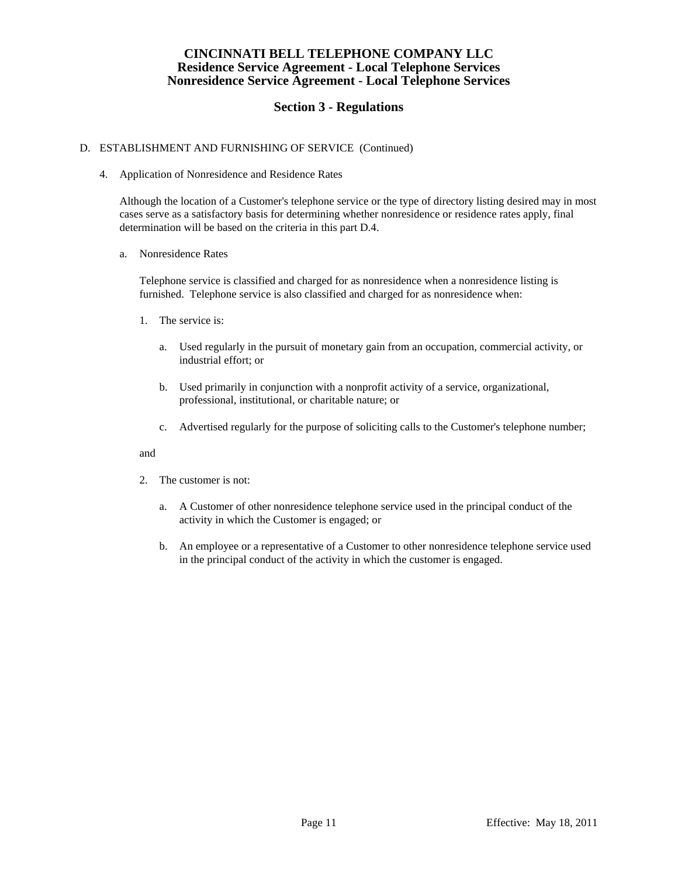# **Section 3 - Regulations**

## D. ESTABLISHMENT AND FURNISHING OF SERVICE (Continued)

4. Application of Nonresidence and Residence Rates

 Although the location of a Customer's telephone service or the type of directory listing desired may in most cases serve as a satisfactory basis for determining whether nonresidence or residence rates apply, final determination will be based on the criteria in this part D.4.

a. Nonresidence Rates

 Telephone service is classified and charged for as nonresidence when a nonresidence listing is furnished. Telephone service is also classified and charged for as nonresidence when:

- 1. The service is:
	- a. Used regularly in the pursuit of monetary gain from an occupation, commercial activity, or industrial effort; or
	- b. Used primarily in conjunction with a nonprofit activity of a service, organizational, professional, institutional, or charitable nature; or
	- c. Advertised regularly for the purpose of soliciting calls to the Customer's telephone number;

### and

- 2. The customer is not:
	- a. A Customer of other nonresidence telephone service used in the principal conduct of the activity in which the Customer is engaged; or
	- b. An employee or a representative of a Customer to other nonresidence telephone service used in the principal conduct of the activity in which the customer is engaged.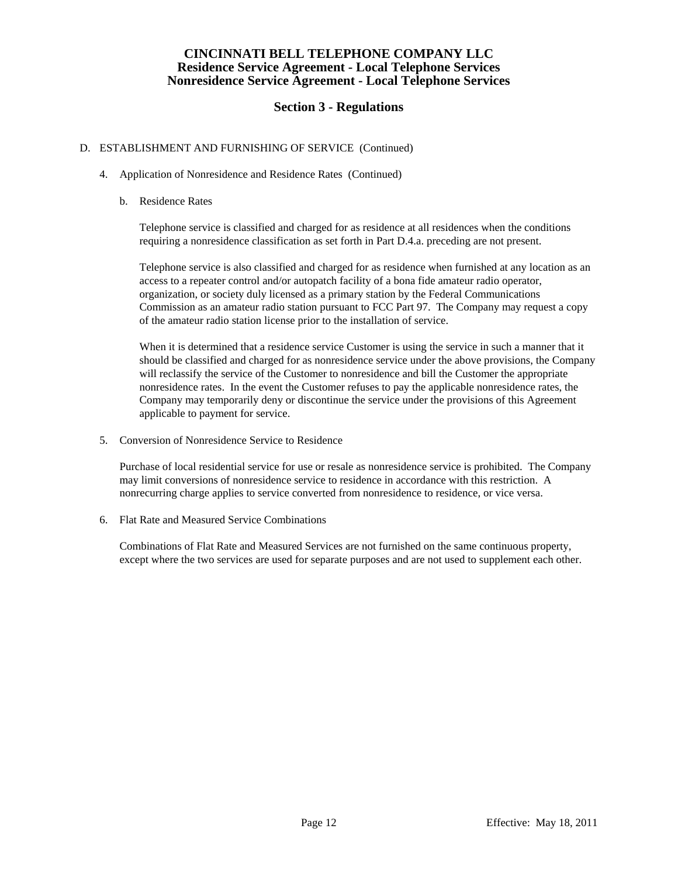# **Section 3 - Regulations**

### D. ESTABLISHMENT AND FURNISHING OF SERVICE (Continued)

- 4. Application of Nonresidence and Residence Rates (Continued)
	- b. Residence Rates

 Telephone service is classified and charged for as residence at all residences when the conditions requiring a nonresidence classification as set forth in Part D.4.a. preceding are not present.

 Telephone service is also classified and charged for as residence when furnished at any location as an access to a repeater control and/or autopatch facility of a bona fide amateur radio operator, organization, or society duly licensed as a primary station by the Federal Communications Commission as an amateur radio station pursuant to FCC Part 97. The Company may request a copy of the amateur radio station license prior to the installation of service.

 When it is determined that a residence service Customer is using the service in such a manner that it should be classified and charged for as nonresidence service under the above provisions, the Company will reclassify the service of the Customer to nonresidence and bill the Customer the appropriate nonresidence rates. In the event the Customer refuses to pay the applicable nonresidence rates, the Company may temporarily deny or discontinue the service under the provisions of this Agreement applicable to payment for service.

5. Conversion of Nonresidence Service to Residence

 Purchase of local residential service for use or resale as nonresidence service is prohibited. The Company may limit conversions of nonresidence service to residence in accordance with this restriction. A nonrecurring charge applies to service converted from nonresidence to residence, or vice versa.

6. Flat Rate and Measured Service Combinations

 Combinations of Flat Rate and Measured Services are not furnished on the same continuous property, except where the two services are used for separate purposes and are not used to supplement each other.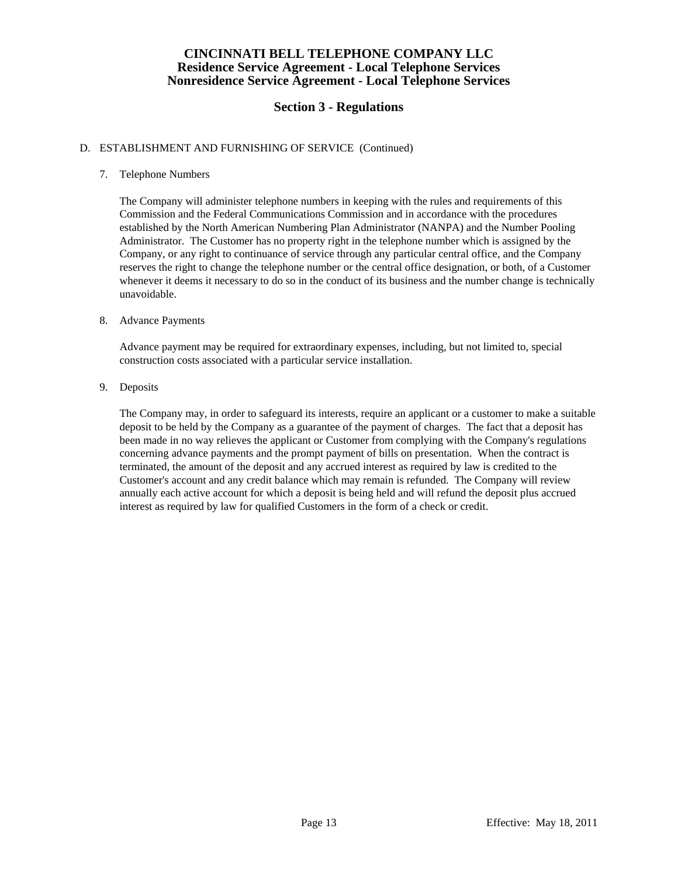# **Section 3 - Regulations**

### D. ESTABLISHMENT AND FURNISHING OF SERVICE (Continued)

## 7. Telephone Numbers

 The Company will administer telephone numbers in keeping with the rules and requirements of this Commission and the Federal Communications Commission and in accordance with the procedures established by the North American Numbering Plan Administrator (NANPA) and the Number Pooling Administrator. The Customer has no property right in the telephone number which is assigned by the Company, or any right to continuance of service through any particular central office, and the Company reserves the right to change the telephone number or the central office designation, or both, of a Customer whenever it deems it necessary to do so in the conduct of its business and the number change is technically unavoidable.

### 8. Advance Payments

 Advance payment may be required for extraordinary expenses, including, but not limited to, special construction costs associated with a particular service installation.

### 9. Deposits

 The Company may, in order to safeguard its interests, require an applicant or a customer to make a suitable deposit to be held by the Company as a guarantee of the payment of charges. The fact that a deposit has been made in no way relieves the applicant or Customer from complying with the Company's regulations concerning advance payments and the prompt payment of bills on presentation. When the contract is terminated, the amount of the deposit and any accrued interest as required by law is credited to the Customer's account and any credit balance which may remain is refunded. The Company will review annually each active account for which a deposit is being held and will refund the deposit plus accrued interest as required by law for qualified Customers in the form of a check or credit.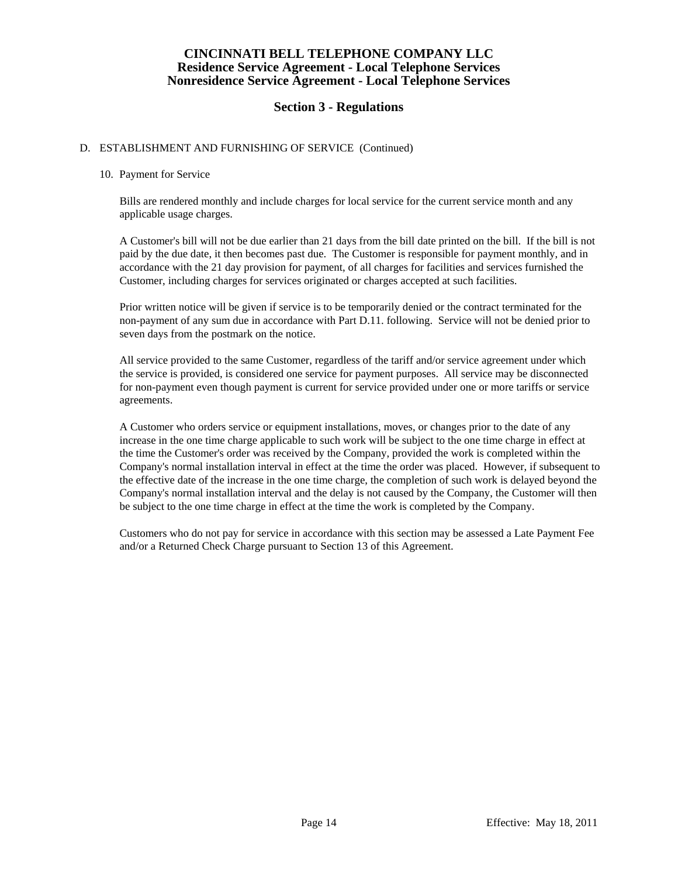# **Section 3 - Regulations**

### D. ESTABLISHMENT AND FURNISHING OF SERVICE (Continued)

#### 10. Payment for Service

 Bills are rendered monthly and include charges for local service for the current service month and any applicable usage charges.

 A Customer's bill will not be due earlier than 21 days from the bill date printed on the bill. If the bill is not paid by the due date, it then becomes past due. The Customer is responsible for payment monthly, and in accordance with the 21 day provision for payment, of all charges for facilities and services furnished the Customer, including charges for services originated or charges accepted at such facilities.

 Prior written notice will be given if service is to be temporarily denied or the contract terminated for the non-payment of any sum due in accordance with Part D.11. following. Service will not be denied prior to seven days from the postmark on the notice.

 All service provided to the same Customer, regardless of the tariff and/or service agreement under which the service is provided, is considered one service for payment purposes. All service may be disconnected for non-payment even though payment is current for service provided under one or more tariffs or service agreements.

 A Customer who orders service or equipment installations, moves, or changes prior to the date of any increase in the one time charge applicable to such work will be subject to the one time charge in effect at the time the Customer's order was received by the Company, provided the work is completed within the Company's normal installation interval in effect at the time the order was placed. However, if subsequent to the effective date of the increase in the one time charge, the completion of such work is delayed beyond the Company's normal installation interval and the delay is not caused by the Company, the Customer will then be subject to the one time charge in effect at the time the work is completed by the Company.

 Customers who do not pay for service in accordance with this section may be assessed a Late Payment Fee and/or a Returned Check Charge pursuant to Section 13 of this Agreement.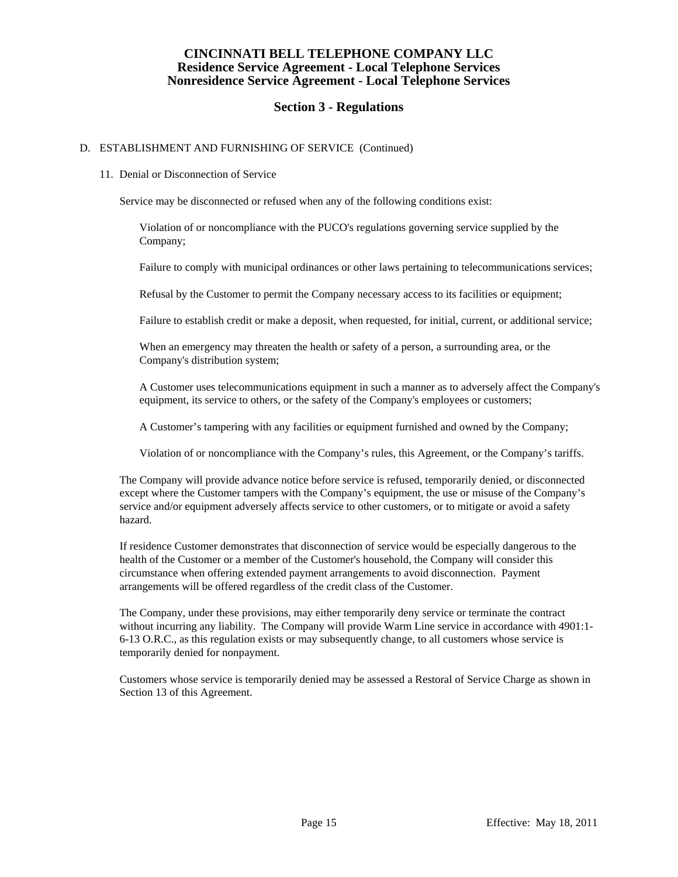# **Section 3 - Regulations**

### D. ESTABLISHMENT AND FURNISHING OF SERVICE (Continued)

#### 11. Denial or Disconnection of Service

Service may be disconnected or refused when any of the following conditions exist:

 Violation of or noncompliance with the PUCO's regulations governing service supplied by the Company;

Failure to comply with municipal ordinances or other laws pertaining to telecommunications services;

Refusal by the Customer to permit the Company necessary access to its facilities or equipment;

Failure to establish credit or make a deposit, when requested, for initial, current, or additional service;

 When an emergency may threaten the health or safety of a person, a surrounding area, or the Company's distribution system;

 A Customer uses telecommunications equipment in such a manner as to adversely affect the Company's equipment, its service to others, or the safety of the Company's employees or customers;

A Customer's tampering with any facilities or equipment furnished and owned by the Company;

Violation of or noncompliance with the Company's rules, this Agreement, or the Company's tariffs.

 The Company will provide advance notice before service is refused, temporarily denied, or disconnected except where the Customer tampers with the Company's equipment, the use or misuse of the Company's service and/or equipment adversely affects service to other customers, or to mitigate or avoid a safety hazard.

 If residence Customer demonstrates that disconnection of service would be especially dangerous to the health of the Customer or a member of the Customer's household, the Company will consider this circumstance when offering extended payment arrangements to avoid disconnection. Payment arrangements will be offered regardless of the credit class of the Customer.

 The Company, under these provisions, may either temporarily deny service or terminate the contract without incurring any liability. The Company will provide Warm Line service in accordance with 4901:1-6-13 O.R.C., as this regulation exists or may subsequently change, to all customers whose service is temporarily denied for nonpayment.

 Customers whose service is temporarily denied may be assessed a Restoral of Service Charge as shown in Section 13 of this Agreement.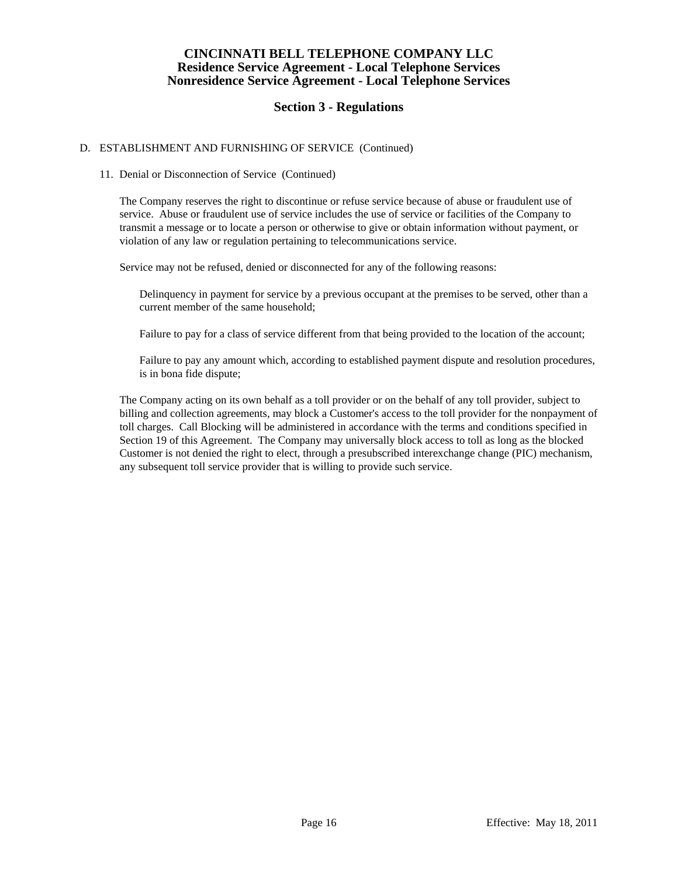# **Section 3 - Regulations**

### D. ESTABLISHMENT AND FURNISHING OF SERVICE (Continued)

#### 11. Denial or Disconnection of Service (Continued)

 The Company reserves the right to discontinue or refuse service because of abuse or fraudulent use of service. Abuse or fraudulent use of service includes the use of service or facilities of the Company to transmit a message or to locate a person or otherwise to give or obtain information without payment, or violation of any law or regulation pertaining to telecommunications service.

Service may not be refused, denied or disconnected for any of the following reasons:

 Delinquency in payment for service by a previous occupant at the premises to be served, other than a current member of the same household;

Failure to pay for a class of service different from that being provided to the location of the account;

 Failure to pay any amount which, according to established payment dispute and resolution procedures, is in bona fide dispute;

 The Company acting on its own behalf as a toll provider or on the behalf of any toll provider, subject to billing and collection agreements, may block a Customer's access to the toll provider for the nonpayment of toll charges. Call Blocking will be administered in accordance with the terms and conditions specified in Section 19 of this Agreement. The Company may universally block access to toll as long as the blocked Customer is not denied the right to elect, through a presubscribed interexchange change (PIC) mechanism, any subsequent toll service provider that is willing to provide such service.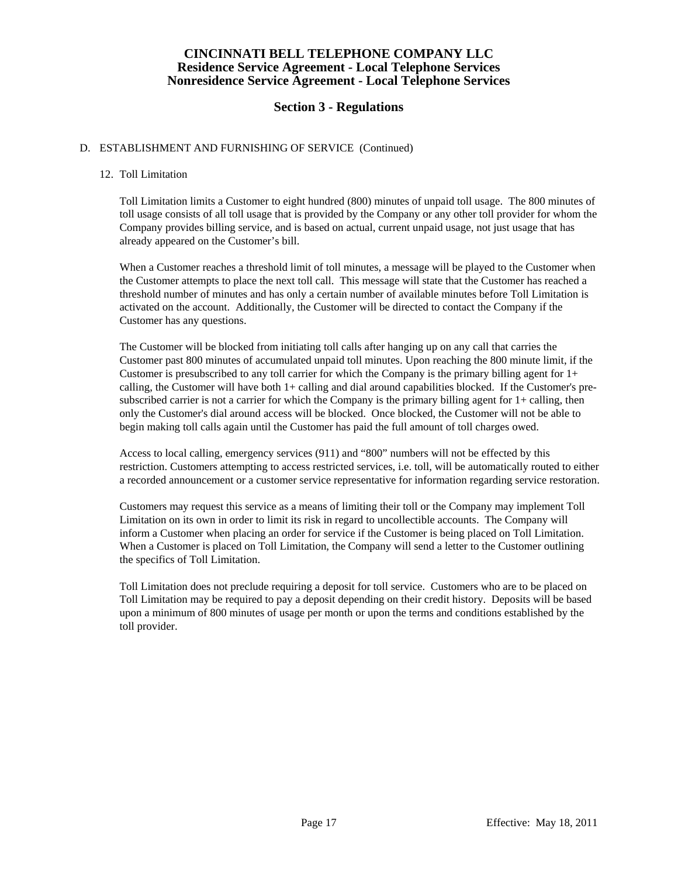# **Section 3 - Regulations**

### D. ESTABLISHMENT AND FURNISHING OF SERVICE (Continued)

#### 12. Toll Limitation

 Toll Limitation limits a Customer to eight hundred (800) minutes of unpaid toll usage. The 800 minutes of toll usage consists of all toll usage that is provided by the Company or any other toll provider for whom the Company provides billing service, and is based on actual, current unpaid usage, not just usage that has already appeared on the Customer's bill.

 When a Customer reaches a threshold limit of toll minutes, a message will be played to the Customer when the Customer attempts to place the next toll call. This message will state that the Customer has reached a threshold number of minutes and has only a certain number of available minutes before Toll Limitation is activated on the account. Additionally, the Customer will be directed to contact the Company if the Customer has any questions.

 The Customer will be blocked from initiating toll calls after hanging up on any call that carries the Customer past 800 minutes of accumulated unpaid toll minutes. Upon reaching the 800 minute limit, if the Customer is presubscribed to any toll carrier for which the Company is the primary billing agent for  $1+$ calling, the Customer will have both 1+ calling and dial around capabilities blocked. If the Customer's presubscribed carrier is not a carrier for which the Company is the primary billing agent for  $1+$  calling, then only the Customer's dial around access will be blocked. Once blocked, the Customer will not be able to begin making toll calls again until the Customer has paid the full amount of toll charges owed.

 Access to local calling, emergency services (911) and "800" numbers will not be effected by this restriction. Customers attempting to access restricted services, i.e. toll, will be automatically routed to either a recorded announcement or a customer service representative for information regarding service restoration.

 Customers may request this service as a means of limiting their toll or the Company may implement Toll Limitation on its own in order to limit its risk in regard to uncollectible accounts. The Company will inform a Customer when placing an order for service if the Customer is being placed on Toll Limitation. When a Customer is placed on Toll Limitation, the Company will send a letter to the Customer outlining the specifics of Toll Limitation.

 Toll Limitation does not preclude requiring a deposit for toll service. Customers who are to be placed on Toll Limitation may be required to pay a deposit depending on their credit history. Deposits will be based upon a minimum of 800 minutes of usage per month or upon the terms and conditions established by the toll provider.